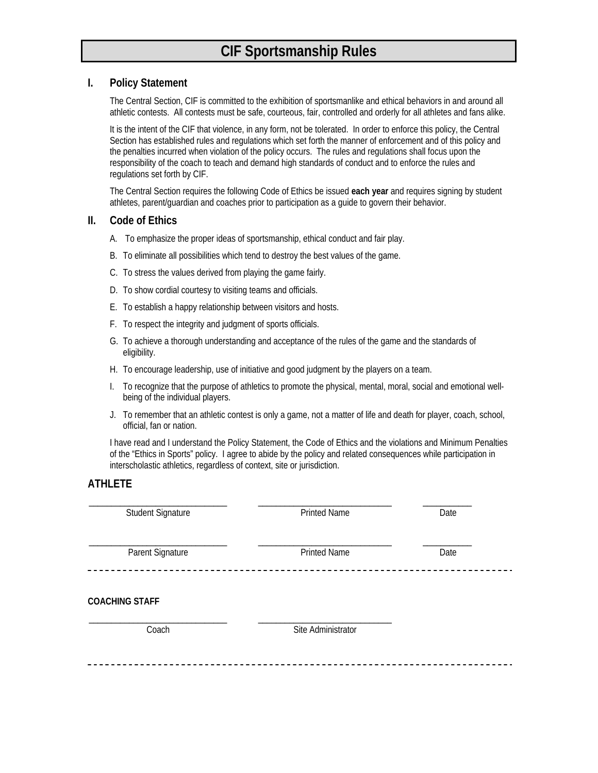# **CIF Sportsmanship Rules**

## **I. Policy Statement**

 The Central Section, CIF is committed to the exhibition of sportsmanlike and ethical behaviors in and around all athletic contests. All contests must be safe, courteous, fair, controlled and orderly for all athletes and fans alike.

It is the intent of the CIF that violence, in any form, not be tolerated. In order to enforce this policy, the Central Section has established rules and regulations which set forth the manner of enforcement and of this policy and the penalties incurred when violation of the policy occurs. The rules and regulations shall focus upon the responsibility of the coach to teach and demand high standards of conduct and to enforce the rules and regulations set forth by CIF.

 The Central Section requires the following Code of Ethics be issued **each year** and requires signing by student athletes, parent/guardian and coaches prior to participation as a guide to govern their behavior.

#### **II. Code of Ethics**

- A. To emphasize the proper ideas of sportsmanship, ethical conduct and fair play.
- B. To eliminate all possibilities which tend to destroy the best values of the game.
- C. To stress the values derived from playing the game fairly.
- D. To show cordial courtesy to visiting teams and officials.
- E. To establish a happy relationship between visitors and hosts.
- F. To respect the integrity and judgment of sports officials.
- G. To achieve a thorough understanding and acceptance of the rules of the game and the standards of eligibility.
- H. To encourage leadership, use of initiative and good judgment by the players on a team.
- I. To recognize that the purpose of athletics to promote the physical, mental, moral, social and emotional wellbeing of the individual players.
- J. To remember that an athletic contest is only a game, not a matter of life and death for player, coach, school, official, fan or nation.

 I have read and I understand the Policy Statement, the Code of Ethics and the violations and Minimum Penalties of the "Ethics in Sports" policy. I agree to abide by the policy and related consequences while participation in interscholastic athletics, regardless of context, site or jurisdiction.

# **ATHLETE**

| <b>Printed Name</b> | Date |
|---------------------|------|
| <b>Printed Name</b> | Date |
|                     |      |

#### **COACHING STAFF**

\_\_\_\_\_\_\_\_\_\_\_\_\_\_\_\_\_\_\_\_\_\_\_\_\_\_\_\_\_\_\_ \_\_\_\_\_\_\_\_\_\_\_\_\_\_\_\_\_\_\_\_\_\_\_\_\_\_\_\_\_\_

Coach Site Administrator